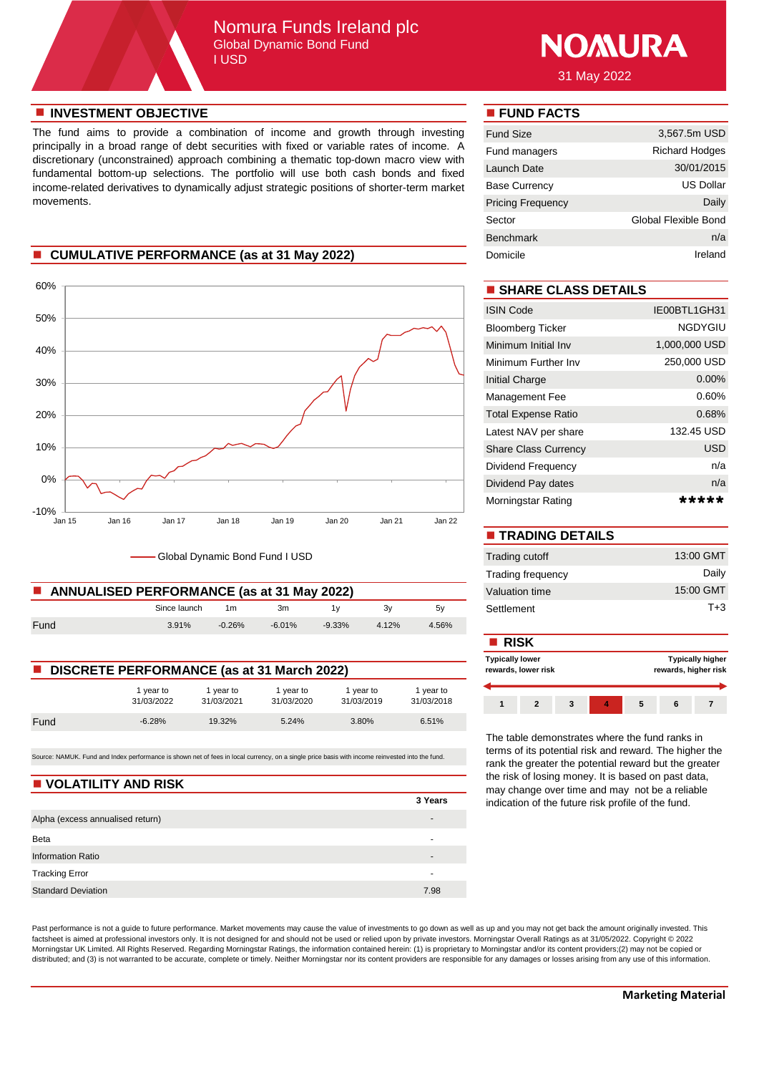## Nomura Funds Ireland plc Global Dynamic Bond Fund I USD



31 May 2022

#### **n** INVESTMENT OBJECTIVE **n FUND FACTS**

The fund aims to provide a combination of income and growth through investing principally in a broad range of debt securities with fixed or variable rates of income. A discretionary (unconstrained) approach combining a thematic top-down macro view with fundamental bottom-up selections. The portfolio will use both cash bonds and fixed income-related derivatives to dynamically adjust strategic positions of shorter-term market movements.

#### **n** CUMULATIVE PERFORMANCE (as at 31 May 2022)



Global Dynamic Bond Fund I USD

| ANNUALISED PERFORMANCE (as at 31 May 2022) | Valuation time |          |           |           |       |       |            |
|--------------------------------------------|----------------|----------|-----------|-----------|-------|-------|------------|
|                                            | Since launch   | 1m       | 3m        |           |       | 5v    | Settlement |
| Fund                                       | 3.91%          | $-0.26%$ | $-6.01\%$ | $-9.33\%$ | 4.12% | 4.56% |            |

| <b>DISCRETE PERFORMANCE (as at 31 March 2022)</b> |                         |                         |                         |                         |                         |  |  |
|---------------------------------------------------|-------------------------|-------------------------|-------------------------|-------------------------|-------------------------|--|--|
|                                                   | 1 vear to<br>31/03/2022 | 1 vear to<br>31/03/2021 | 1 vear to<br>31/03/2020 | 1 year to<br>31/03/2019 | 1 year to<br>31/03/2018 |  |  |
| Fund                                              | $-6.28%$                | 19.32%                  | 5.24%                   | 3.80%                   | 6.51%                   |  |  |

Source: NAMUK. Fund and Index performance is shown net of fees in local currency, on a single price basis with income reinvested into the fund.

#### **N** VOLATILITY AND RISK

|                                  | 3 Years                  |
|----------------------------------|--------------------------|
| Alpha (excess annualised return) | $\overline{\phantom{0}}$ |
| Beta                             | $\overline{\phantom{0}}$ |
| <b>Information Ratio</b>         | $\overline{\phantom{0}}$ |
| <b>Tracking Error</b>            | -                        |
| <b>Standard Deviation</b>        | 7.98                     |

Past performance is not a guide to future performance. Market movements may cause the value of investments to go down as well as up and you may not get back the amount originally invested. This factsheet is aimed at professional investors only. It is not designed for and should not be used or relied upon by private investors. Morningstar Overall Ratings as at 31/05/2022. Copyright © 2022 Morningstar UK Limited. All Rights Reserved. Regarding Morningstar Ratings, the information contained herein: (1) is proprietary to Morningstar and/or its content providers;(2) may not be copied or distributed; and (3) is not warranted to be accurate, complete or timely. Neither Morningstar nor its content providers are responsible for any damages or losses arising from any use of this information.

| <b>Fund Size</b>         | 3,567.5m USD          |
|--------------------------|-----------------------|
| Fund managers            | <b>Richard Hodges</b> |
| Launch Date              | 30/01/2015            |
| <b>Base Currency</b>     | US Dollar             |
| <b>Pricing Frequency</b> | Daily                 |
| Sector                   | Global Flexible Bond  |
| <b>Benchmark</b>         | n/a                   |
| Domicile                 | Ireland               |

## $\blacksquare$  **SHARE CLASS DETAILS**

| <b>ISIN Code</b>            | IE00BTL1GH31   |
|-----------------------------|----------------|
| <b>Bloomberg Ticker</b>     | <b>NGDYGIU</b> |
| Minimum Initial Inv         | 1,000,000 USD  |
| Minimum Further Inv         | 250,000 USD    |
| Initial Charge              | $0.00\%$       |
| Management Fee              | $0.60\%$       |
| <b>Total Expense Ratio</b>  | 0.68%          |
| Latest NAV per share        | 132.45 USD     |
| <b>Share Class Currency</b> | <b>USD</b>     |
| Dividend Frequency          | n/a            |
| Dividend Pay dates          | n/a            |
| Morningstar Rating          | *****          |

| <b>TRADING DETAILS</b>   |           |
|--------------------------|-----------|
| Trading cutoff           | 13:00 GMT |
| <b>Trading frequency</b> | Daily     |
| Valuation time           | 15:00 GMT |
| Settlement               | $T + 3$   |

|                                                   |                       |                       |                       |                         | <b>■ RISK</b>           |                     |  |  |  |  |                                                 |  |
|---------------------------------------------------|-----------------------|-----------------------|-----------------------|-------------------------|-------------------------|---------------------|--|--|--|--|-------------------------------------------------|--|
| <b>DISCRETE PERFORMANCE (as at 31 March 2022)</b> |                       |                       |                       |                         | <b>Typically lower</b>  | rewards, lower risk |  |  |  |  | <b>Typically higher</b><br>rewards, higher risk |  |
|                                                   | vear to<br>31/03/2022 | vear to<br>31/03/2021 | vear to<br>31/03/2020 | l vear to<br>31/03/2019 | I year to<br>31/03/2018 |                     |  |  |  |  |                                                 |  |
| - -                                               | 0.0001                | 100001                | $F \cap 401$          | 0.0001                  | 0.5401                  |                     |  |  |  |  |                                                 |  |

The table demonstrates where the fund ranks in terms of its potential risk and reward. The higher the rank the greater the potential reward but the greater the risk of losing money. It is based on past data, may change over time and may not be a reliable indication of the future risk profile of the fund.